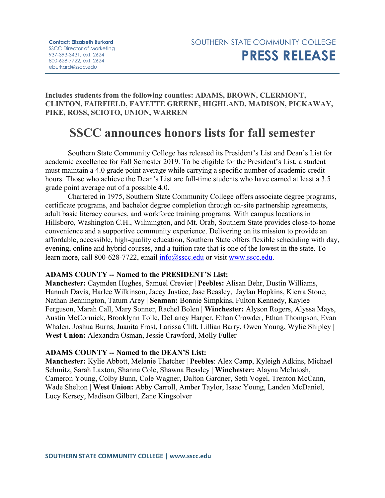**Includes students from the following counties: ADAMS, BROWN, CLERMONT, CLINTON, FAIRFIELD, FAYETTE GREENE, HIGHLAND, MADISON, PICKAWAY, PIKE, ROSS, SCIOTO, UNION, WARREN**

# **SSCC announces honors lists for fall semester**

Southern State Community College has released its President's List and Dean's List for academic excellence for Fall Semester 2019. To be eligible for the President's List, a student must maintain a 4.0 grade point average while carrying a specific number of academic credit hours. Those who achieve the Dean's List are full-time students who have earned at least a 3.5 grade point average out of a possible 4.0.

Chartered in 1975, Southern State Community College offers associate degree programs, certificate programs, and bachelor degree completion through on-site partnership agreements, adult basic literacy courses, and workforce training programs. With campus locations in Hillsboro, Washington C.H., Wilmington, and Mt. Orab, Southern State provides close-to-home convenience and a supportive community experience. Delivering on its mission to provide an affordable, accessible, high-quality education, Southern State offers flexible scheduling with day, evening, online and hybrid courses, and a tuition rate that is one of the lowest in the state. To learn more, call 800-628-7722, email [info@sscc.edu](mailto:info@sscc.edu) or visit [www.sscc.edu.](http://www.sscc.edu/)

### **ADAMS COUNTY -- Named to the PRESIDENT'S List:**

**Manchester:** Caymden Hughes, Samuel Crevier | **Peebles:** Alisan Behr, Dustin Williams, Hannah Davis, Harlee Wilkinson, Jacey Justice, Jase Beasley, Jaylan Hopkins, Kierra Stone, Nathan Bennington, Tatum Arey | **Seaman:** Bonnie Simpkins, Fulton Kennedy, Kaylee Ferguson, Marah Call, Mary Sonner, Rachel Bolen | **Winchester:** Alyson Rogers, Alyssa Mays, Austin McCormick, Brooklynn Tolle, DeLaney Harper, Ethan Crowder, Ethan Thompson, Evan Whalen, Joshua Burns, Juanita Frost, Larissa Clift, Lillian Barry, Owen Young, Wylie Shipley | **West Union:** Alexandra Osman, Jessie Crawford, Molly Fuller

#### **ADAMS COUNTY -- Named to the DEAN'S List:**

**Manchester:** Kylie Abbott, Melanie Thatcher | **Peebles**: Alex Camp, Kyleigh Adkins, Michael Schmitz, Sarah Laxton, Shanna Cole, Shawna Beasley | **Winchester:** Alayna McIntosh, Cameron Young, Colby Bunn, Cole Wagner, Dalton Gardner, Seth Vogel, Trenton McCann, Wade Shelton | **West Union:** Abby Carroll, Amber Taylor, Isaac Young, Landen McDaniel, Lucy Kersey, Madison Gilbert, Zane Kingsolver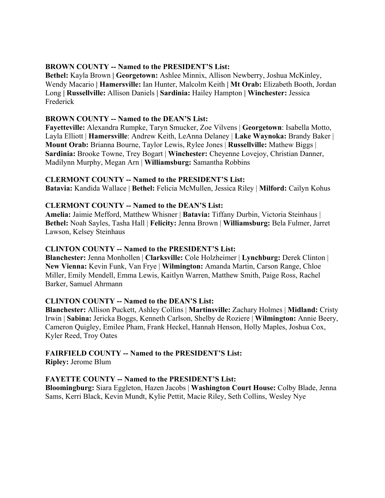### **BROWN COUNTY -- Named to the PRESIDENT'S List:**

**Bethel:** Kayla Brown **| Georgetown:** Ashlee Minnix, Allison Newberry, Joshua McKinley, Wendy Macario **| Hamersville:** Ian Hunter, Malcolm Keith **| Mt Orab:** Elizabeth Booth, Jordan Long **| Russellville:** Allison Daniels **| Sardinia:** Hailey Hampton **| Winchester:** Jessica Frederick

# **BROWN COUNTY -- Named to the DEAN'S List:**

**Fayetteville:** Alexandra Rumpke, Taryn Smucker, Zoe Vilvens | **Georgetown**: Isabella Motto, Layla Elliott | **Hamersville**: Andrew Keith, LeAnna Delaney | **Lake Waynoka:** Brandy Baker | **Mount Orab:** Brianna Bourne, Taylor Lewis, Rylee Jones | **Russellville:** Mathew Biggs | **Sardinia:** Brooke Towne, Trey Bogart | **Winchester:** Cheyenne Lovejoy, Christian Danner, Madilynn Murphy, Megan Arn | **Williamsburg:** Samantha Robbins

# **CLERMONT COUNTY -- Named to the PRESIDENT'S List:**

**Batavia:** Kandida Wallace | **Bethel:** Felicia McMullen, Jessica Riley | **Milford:** Cailyn Kohus

# **CLERMONT COUNTY -- Named to the DEAN'S List:**

**Amelia:** Jaimie Mefford, Matthew Whisner | **Batavia:** Tiffany Durbin, Victoria Steinhaus | **Bethel:** Noah Sayles, Tasha Hall | **Felicity:** Jenna Brown | **Williamsburg:** Bela Fulmer, Jarret Lawson, Kelsey Steinhaus

# **CLINTON COUNTY -- Named to the PRESIDENT'S List:**

**Blanchester:** Jenna Monhollen | **Clarksville:** Cole Holzheimer | **Lynchburg:** Derek Clinton | **New Vienna:** Kevin Funk, Van Frye | **Wilmington:** Amanda Martin, Carson Range, Chloe Miller, Emily Mendell, Emma Lewis, Kaitlyn Warren, Matthew Smith, Paige Ross, Rachel Barker, Samuel Ahrmann

# **CLINTON COUNTY -- Named to the DEAN'S List:**

**Blanchester:** Allison Puckett, Ashley Collins | **Martinsville:** Zachary Holmes | **Midland:** Cristy Irwin | **Sabina:** Jericka Boggs, Kenneth Carlson, Shelby de Roziere | **Wilmington:** Annie Beery, Cameron Quigley, Emilee Pham, Frank Heckel, Hannah Henson, Holly Maples, Joshua Cox, Kyler Reed, Troy Oates

# **FAIRFIELD COUNTY -- Named to the PRESIDENT'S List:**

**Ripley:** Jerome Blum

# **FAYETTE COUNTY -- Named to the PRESIDENT'S List:**

**Bloomingburg:** Siara Eggleton, Hazen Jacobs | **Washington Court House:** Colby Blade, Jenna Sams, Kerri Black, Kevin Mundt, Kylie Pettit, Macie Riley, Seth Collins, Wesley Nye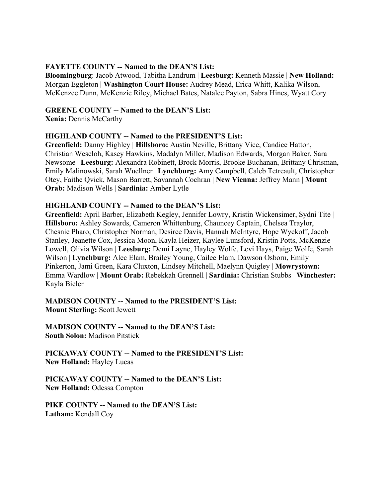### **FAYETTE COUNTY -- Named to the DEAN'S List:**

**Bloomingburg**: Jacob Atwood, Tabitha Landrum | **Leesburg:** Kenneth Massie | **New Holland:** Morgan Eggleton | **Washington Court House:** Audrey Mead, Erica Whitt, Kalika Wilson, McKenzee Dunn, McKenzie Riley, Michael Bates, Natalee Payton, Sabra Hines, Wyatt Cory

### **GREENE COUNTY -- Named to the DEAN'S List:**

**Xenia:** Dennis McCarthy

### **HIGHLAND COUNTY -- Named to the PRESIDENT'S List:**

**Greenfield:** Danny Highley | **Hillsboro:** Austin Neville, Brittany Vice, Candice Hatton, Christian Weseloh, Kasey Hawkins, Madalyn Miller, Madison Edwards, Morgan Baker, Sara Newsome | **Leesburg:** Alexandra Robinett, Brock Morris, Brooke Buchanan, Brittany Chrisman, Emily Malinowski, Sarah Wuellner | **Lynchburg:** Amy Campbell, Caleb Tetreault, Christopher Otey, Faithe Qvick, Mason Barrett, Savannah Cochran | **New Vienna:** Jeffrey Mann | **Mount Orab:** Madison Wells | **Sardinia:** Amber Lytle

### **HIGHLAND COUNTY -- Named to the DEAN'S List:**

**Greenfield:** April Barber, Elizabeth Kegley, Jennifer Lowry, Kristin Wickensimer, Sydni Tite | **Hillsboro:** Ashley Sowards, Cameron Whittenburg, Chauncey Captain, Chelsea Traylor, Chesnie Pharo, Christopher Norman, Desiree Davis, Hannah McIntyre, Hope Wyckoff, Jacob Stanley, Jeanette Cox, Jessica Moon, Kayla Heizer, Kaylee Lunsford, Kristin Potts, McKenzie Lowell, Olivia Wilson | **Leesburg:** Demi Layne, Hayley Wolfe, Levi Hays, Paige Wolfe, Sarah Wilson | **Lynchburg:** Alec Elam, Brailey Young, Cailee Elam, Dawson Osborn, Emily Pinkerton, Jami Green, Kara Cluxton, Lindsey Mitchell, Maelynn Quigley | **Mowrystown:** Emma Wardlow | **Mount Orab:** Rebekkah Grennell | **Sardinia:** Christian Stubbs | **Winchester:** Kayla Bieler

**MADISON COUNTY -- Named to the PRESIDENT'S List: Mount Sterling:** Scott Jewett

**MADISON COUNTY -- Named to the DEAN'S List: South Solon:** Madison Pitstick

**PICKAWAY COUNTY -- Named to the PRESIDENT'S List: New Holland:** Hayley Lucas

**PICKAWAY COUNTY -- Named to the DEAN'S List: New Holland:** Odessa Compton

**PIKE COUNTY -- Named to the DEAN'S List: Latham:** Kendall Coy